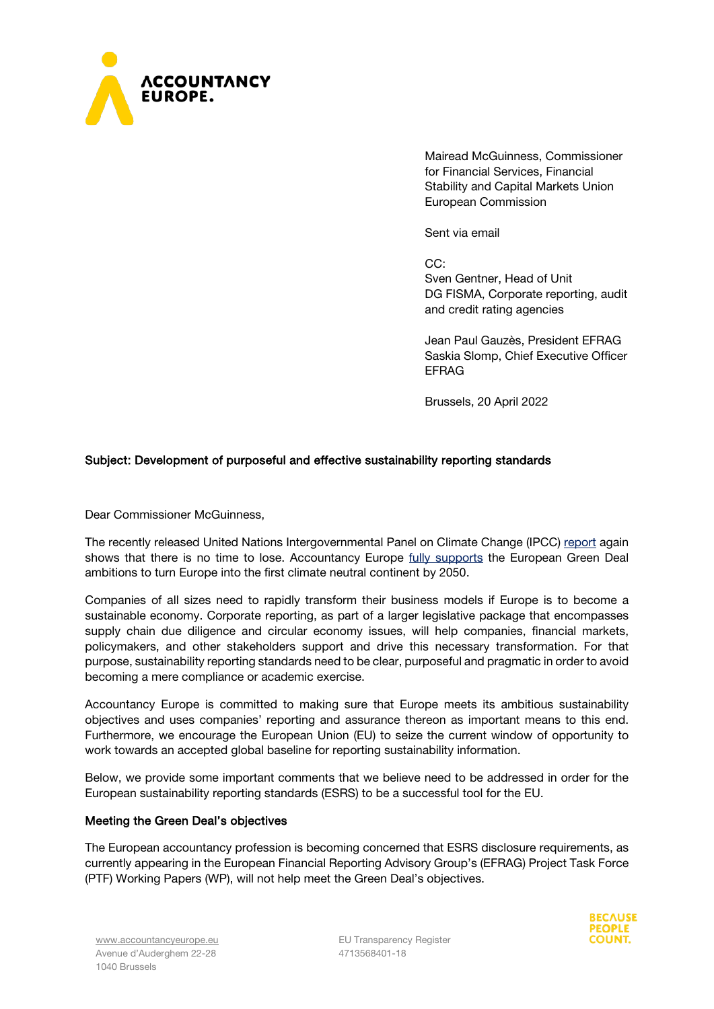

Mairead McGuinness, Commissioner for Financial Services, Financial Stability and Capital Markets Union European Commission

Sent via email

CC:

Sven Gentner, Head of Unit DG FISMA, Corporate reporting, audit and credit rating agencies

Jean Paul Gauzès, President EFRAG Saskia Slomp, Chief Executive Officer EFRAG

Brussels, 20 April 2022

# Subject: Development of purposeful and effective sustainability reporting standards

Dear Commissioner McGuinness,

The recently released United Nations Intergovernmental Panel on Climate Change (IPCC) [report](https://www.ipcc.ch/report/sixth-assessment-report-working-group-3/) again shows that there is no time to lose. Accountancy Europe [fully supports](https://www.accountancyeurope.eu/good-governance-sustainability/accountancy-profession-is-ready-to-advance-the-eus-green-deal/) the European Green Deal ambitions to turn Europe into the first climate neutral continent by 2050.

Companies of all sizes need to rapidly transform their business models if Europe is to become a sustainable economy. Corporate reporting, as part of a larger legislative package that encompasses supply chain due diligence and circular economy issues, will help companies, financial markets, policymakers, and other stakeholders support and drive this necessary transformation. For that purpose, sustainability reporting standards need to be clear, purposeful and pragmatic in order to avoid becoming a mere compliance or academic exercise.

Accountancy Europe is committed to making sure that Europe meets its ambitious sustainability objectives and uses companies' reporting and assurance thereon as important means to this end. Furthermore, we encourage the European Union (EU) to seize the current window of opportunity to work towards an accepted global baseline for reporting sustainability information.

Below, we provide some important comments that we believe need to be addressed in order for the European sustainability reporting standards (ESRS) to be a successful tool for the EU.

### Meeting the Green Deal's objectives

The European accountancy profession is becoming concerned that ESRS disclosure requirements, as currently appearing in the European Financial Reporting Advisory Group's (EFRAG) Project Task Force (PTF) Working Papers (WP), will not help meet the Green Deal's objectives.

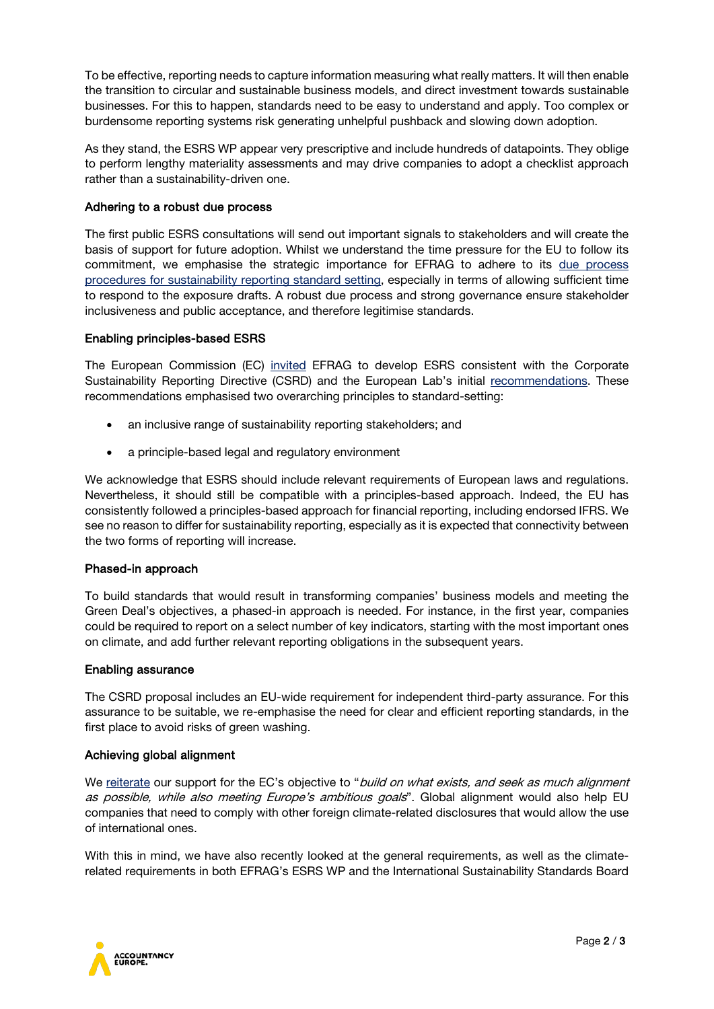To be effective, reporting needs to capture information measuring what really matters. It will then enable the transition to circular and sustainable business models, and direct investment towards sustainable businesses. For this to happen, standards need to be easy to understand and apply. Too complex or burdensome reporting systems risk generating unhelpful pushback and slowing down adoption.

As they stand, the ESRS WP appear very prescriptive and include hundreds of datapoints. They oblige to perform lengthy materiality assessments and may drive companies to adopt a checklist approach rather than a sustainability-driven one.

## Adhering to a robust due process

The first public ESRS consultations will send out important signals to stakeholders and will create the basis of support for future adoption. Whilst we understand the time pressure for the EU to follow its commitment, we emphasise the strategic importance for EFRAG to adhere to its [due process](https://www.efrag.org/News/Project-581/EFRAG-issues-its-Due-Process-Procedures-for-Sustainability-Reporting-Standard-Setting-)  [procedures for sustainability reporting standard setting,](https://www.efrag.org/News/Project-581/EFRAG-issues-its-Due-Process-Procedures-for-Sustainability-Reporting-Standard-Setting-) especially in terms of allowing sufficient time to respond to the exposure drafts. A robust due process and strong governance ensure stakeholder inclusiveness and public acceptance, and therefore legitimise standards.

### Enabling principles-based ESRS

The European Commission (EC) [invited](https://www.efrag.org/Assets/Download?assetUrl=/sites/webpublishing/SiteAssets/210512+Commissioner+McGuinness+to+EFRAG+on+sustainability.pdf) EFRAG to develop ESRS consistent with the Corporate Sustainability Reporting Directive (CSRD) and the European Lab's initial [recommendations.](https://www.efrag.org/Lab2) These recommendations emphasised two overarching principles to standard-setting:

- an inclusive range of sustainability reporting stakeholders; and
- a principle-based legal and regulatory environment

We acknowledge that ESRS should include relevant requirements of European laws and regulations. Nevertheless, it should still be compatible with a principles-based approach. Indeed, the EU has consistently followed a principles-based approach for financial reporting, including endorsed IFRS. We see no reason to differ for sustainability reporting, especially as it is expected that connectivity between the two forms of reporting will increase.

### Phased-in approach

To build standards that would result in transforming companies' business models and meeting the Green Deal's objectives, a phased-in approach is needed. For instance, in the first year, companies could be required to report on a select number of key indicators, starting with the most important ones on climate, and add further relevant reporting obligations in the subsequent years.

### Enabling assurance

The CSRD proposal includes an EU-wide requirement for independent third-party assurance. For this assurance to be suitable, we re-emphasise the need for clear and efficient reporting standards, in the first place to avoid risks of green washing.

### Achieving global alignment

We [reiterate](https://www.accountancyeurope.eu/reporting-transparency/time-to-deliver-on-high-quality-sustainability-reporting/) our support for the EC's objective to "build on what exists, and seek as much alignment as possible, while also meeting Europe's ambitious goals". Global alignment would also help EU companies that need to comply with other foreign climate-related disclosures that would allow the use of international ones.

With this in mind, we have also recently looked at the general requirements, as well as the climaterelated requirements in both EFRAG's ESRS WP and the International Sustainability Standards Board